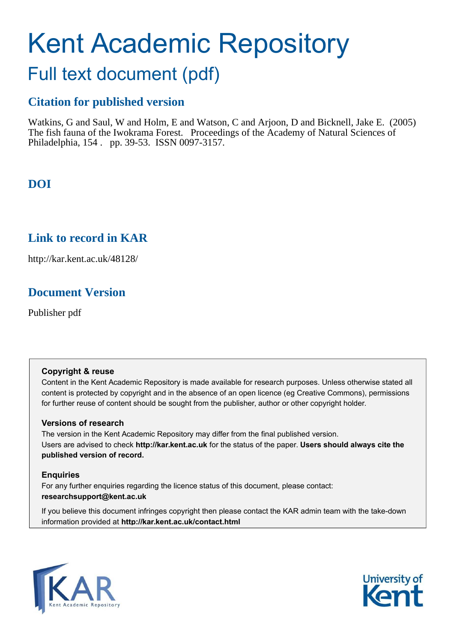# Kent Academic Repository

## Full text document (pdf)

## **Citation for published version**

Watkins, G and Saul, W and Holm, E and Watson, C and Arjoon, D and Bicknell, Jake E. (2005) The fish fauna of the Iwokrama Forest. Proceedings of the Academy of Natural Sciences of Philadelphia, 154 . pp. 39-53. ISSN 0097-3157.

## **DOI**

## **Link to record in KAR**

http://kar.kent.ac.uk/48128/

## **Document Version**

Publisher pdf

## **Copyright & reuse**

Content in the Kent Academic Repository is made available for research purposes. Unless otherwise stated all content is protected by copyright and in the absence of an open licence (eg Creative Commons), permissions for further reuse of content should be sought from the publisher, author or other copyright holder.

## **Versions of research**

The version in the Kent Academic Repository may differ from the final published version. Users are advised to check **http://kar.kent.ac.uk** for the status of the paper. **Users should always cite the published version of record.**

## **Enquiries**

For any further enquiries regarding the licence status of this document, please contact: **researchsupport@kent.ac.uk**

If you believe this document infringes copyright then please contact the KAR admin team with the take-down information provided at **http://kar.kent.ac.uk/contact.html**



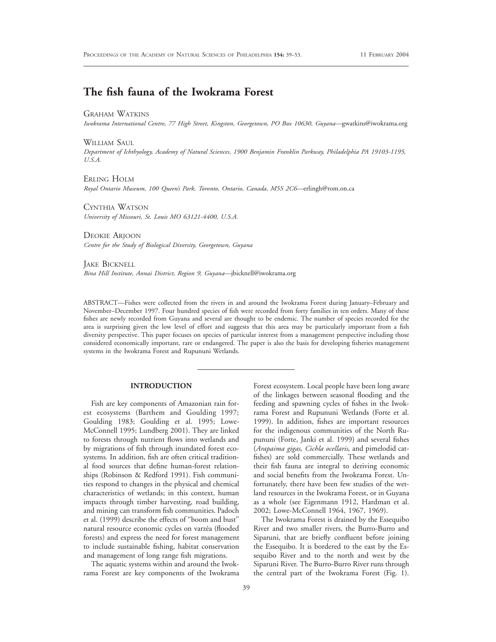#### **The fish fauna of the Iwokrama Forest**

#### GRAHAM WATKINS

*Iwokrama International Centre, 77 High Street, Kingston, Georgetown, PO Box 10630, Guyana—*gwatkins@iwokrama.org

#### WILLIAM SAUL

*Department of Ichthyology, Academy of Natural Sciences, 1900 Benjamin Franklin Parkway, Philadelphia PA 19103-1195, U.S.A.*

#### ERLING HOLM *Royal Ontario Museum, 100 Queen's Park, Toronto, Ontario, Canada, M5S 2C6—*erlingh@rom.on.ca

CYNTHIA WATSON *University of Missouri, St. Louis MO 63121-4400, U.S.A.*

DEOKIE ARJOON *Centre for the Study of Biological Diversity, Georgetown, Guyana*

JAKE BICKNELL *Bina Hill Institute, Annai District, Region 9, Guyana—*jbicknell@iwokrama.org

ABSTRACT—Fishes were collected from the rivers in and around the Iwokrama Forest during January–February and November–December 1997. Four hundred species of fish were recorded from forty families in ten orders. Many of these fishes are newly recorded from Guyana and several are thought to be endemic. The number of species recorded for the area is surprising given the low level of effort and suggests that this area may be particularly important from a fish diversity perspective. This paper focuses on species of particular interest from a management perspective including those considered economically important, rare or endangered. The paper is also the basis for developing fisheries management systems in the Iwokrama Forest and Rupununi Wetlands.

#### **INTRODUCTION**

Fish are key components of Amazonian rain forest ecosystems (Barthem and Goulding 1997; Goulding 1983; Goulding et al. 1995; Lowe-McConnell 1995; Lundberg 2001). They are linked to forests through nutrient flows into wetlands and by migrations of fish through inundated forest ecosystems. In addition, fish are often critical traditional food sources that define human-forest relationships (Robinson & Redford 1991). Fish communities respond to changes in the physical and chemical characteristics of wetlands; in this context, human impacts through timber harvesting, road building, and mining can transform fish communities. Padoch et al. (1999) describe the effects of ''boom and bust'' natural resource economic cycles on varzéa (flooded forests) and express the need for forest management to include sustainable fishing, habitat conservation and management of long range fish migrations.

The aquatic systems within and around the Iwokrama Forest are key components of the Iwokrama

Forest ecosystem. Local people have been long aware of the linkages between seasonal flooding and the feeding and spawning cycles of fishes in the Iwokrama Forest and Rupununi Wetlands (Forte et al. 1999). In addition, fishes are important resources for the indigenous communities of the North Rupununi (Forte, Janki et al. 1999) and several fishes (*Arapaima gigas*, *Cichla ocellaris*, and pimelodid catfishes) are sold commercially. These wetlands and their fish fauna are integral to deriving economic and social benefits from the Iwokrama Forest. Unfortunately, there have been few studies of the wetland resources in the Iwokrama Forest, or in Guyana as a whole (see Eigenmann 1912, Hardman et al. 2002; Lowe-McConnell 1964, 1967, 1969).

The Iwokrama Forest is drained by the Essequibo River and two smaller rivers, the Burro-Burro and Siparuni, that are briefly confluent before joining the Essequibo. It is bordered to the east by the Essequibo River and to the north and west by the Siparuni River. The Burro-Burro River runs through the central part of the Iwokrama Forest (Fig. 1).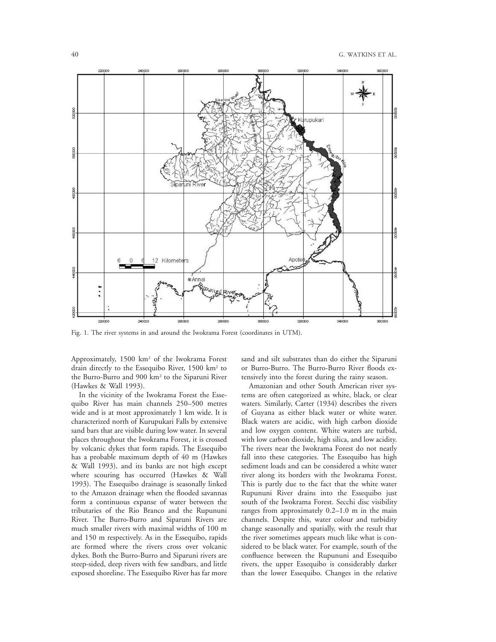

Fig. 1. The river systems in and around the Iwokrama Forest (coordinates in UTM).

Approximately, 1500 km<sup>2</sup> of the Iwokrama Forest drain directly to the Essequibo River, 1500 km<sup>2</sup> to the Burro-Burro and 900 km<sup>2</sup> to the Siparuni River (Hawkes & Wall 1993).

In the vicinity of the Iwokrama Forest the Essequibo River has main channels 250–500 metres wide and is at most approximately 1 km wide. It is characterized north of Kurupukari Falls by extensive sand bars that are visible during low water. In several places throughout the Iwokrama Forest, it is crossed by volcanic dykes that form rapids. The Essequibo has a probable maximum depth of 40 m (Hawkes & Wall 1993), and its banks are not high except where scouring has occurred (Hawkes & Wall 1993). The Essequibo drainage is seasonally linked to the Amazon drainage when the flooded savannas form a continuous expanse of water between the tributaries of the Rio Branco and the Rupununi River. The Burro-Burro and Siparuni Rivers are much smaller rivers with maximal widths of 100 m and 150 m respectively. As in the Essequibo, rapids are formed where the rivers cross over volcanic dykes. Both the Burro-Burro and Siparuni rivers are steep-sided, deep rivers with few sandbars, and little exposed shoreline. The Essequibo River has far more sand and silt substrates than do either the Siparuni or Burro-Burro. The Burro-Burro River floods extensively into the forest during the rainy season.

Amazonian and other South American river systems are often categorized as white, black, or clear waters. Similarly, Carter (1934) describes the rivers of Guyana as either black water or white water. Black waters are acidic, with high carbon dioxide and low oxygen content. White waters are turbid, with low carbon dioxide, high silica, and low acidity. The rivers near the Iwokrama Forest do not neatly fall into these categories. The Essequibo has high sediment loads and can be considered a white water river along its borders with the Iwokrama Forest. This is partly due to the fact that the white water Rupununi River drains into the Essequibo just south of the Iwokrama Forest. Secchi disc visibility ranges from approximately 0.2–1.0 m in the main channels. Despite this, water colour and turbidity change seasonally and spatially, with the result that the river sometimes appears much like what is considered to be black water. For example, south of the confluence between the Rupununi and Essequibo rivers, the upper Essequibo is considerably darker than the lower Essequibo. Changes in the relative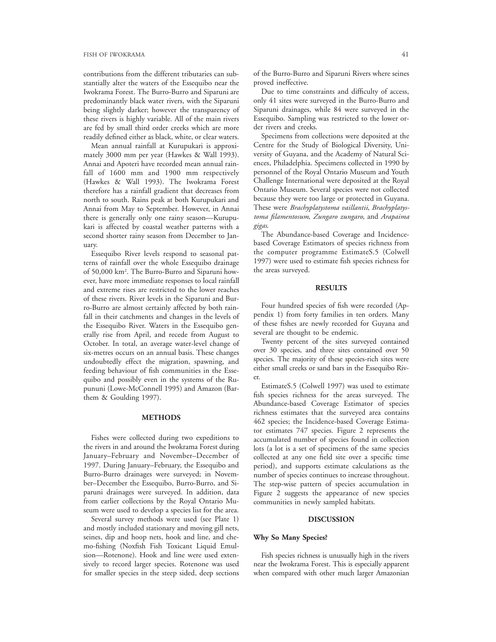contributions from the different tributaries can substantially alter the waters of the Essequibo near the Iwokrama Forest. The Burro-Burro and Siparuni are predominantly black water rivers, with the Siparuni being slightly darker; however the transparency of these rivers is highly variable. All of the main rivers are fed by small third order creeks which are more readily defined either as black, white, or clear waters.

Mean annual rainfall at Kurupukari is approximately 3000 mm per year (Hawkes & Wall 1993). Annai and Apoteri have recorded mean annual rainfall of 1600 mm and 1900 mm respectively (Hawkes & Wall 1993). The Iwokrama Forest therefore has a rainfall gradient that decreases from north to south. Rains peak at both Kurupukari and Annai from May to September. However, in Annai there is generally only one rainy season—Kurupukari is affected by coastal weather patterns with a second shorter rainy season from December to January.

Essequibo River levels respond to seasonal patterns of rainfall over the whole Essequibo drainage of 50,000 km<sup>2</sup> . The Burro-Burro and Siparuni however, have more immediate responses to local rainfall and extreme rises are restricted to the lower reaches of these rivers. River levels in the Siparuni and Burro-Burro are almost certainly affected by both rainfall in their catchments and changes in the levels of the Essequibo River. Waters in the Essequibo generally rise from April, and recede from August to October. In total, an average water-level change of six-metres occurs on an annual basis. These changes undoubtedly effect the migration, spawning, and feeding behaviour of fish communities in the Essequibo and possibly even in the systems of the Rupununi (Lowe-McConnell 1995) and Amazon (Barthem & Goulding 1997).

#### **METHODS**

Fishes were collected during two expeditions to the rivers in and around the Iwokrama Forest during January–February and November–December of 1997. During January–February, the Essequibo and Burro-Burro drainages were surveyed; in November–December the Essequibo, Burro-Burro, and Siparuni drainages were surveyed. In addition, data from earlier collections by the Royal Ontario Museum were used to develop a species list for the area.

Several survey methods were used (see Plate 1) and mostly included stationary and moving gill nets, seines, dip and hoop nets, hook and line, and chemo-fishing (Noxfish Fish Toxicant Liquid Emulsion—Rotenone). Hook and line were used extensively to record larger species. Rotenone was used for smaller species in the steep sided, deep sections

of the Burro-Burro and Siparuni Rivers where seines proved ineffective.

Due to time constraints and difficulty of access, only 41 sites were surveyed in the Burro-Burro and Siparuni drainages, while 84 were surveyed in the Essequibo. Sampling was restricted to the lower order rivers and creeks.

Specimens from collections were deposited at the Centre for the Study of Biological Diversity, University of Guyana, and the Academy of Natural Sciences, Philadelphia. Specimens collected in 1990 by personnel of the Royal Ontario Museum and Youth Challenge International were deposited at the Royal Ontario Museum. Several species were not collected because they were too large or protected in Guyana. These were *Brachyplatystoma vaillantii*, *Brachyplatystoma filamentosum*, *Zungaro zungaro*, and *Arapaima gigas*.

The Abundance-based Coverage and Incidencebased Coverage Estimators of species richness from the computer programme EstimateS.5 (Colwell 1997) were used to estimate fish species richness for the areas surveyed.

#### **RESULTS**

Four hundred species of fish were recorded (Appendix 1) from forty families in ten orders. Many of these fishes are newly recorded for Guyana and several are thought to be endemic.

Twenty percent of the sites surveyed contained over 30 species, and three sites contained over 50 species. The majority of these species-rich sites were either small creeks or sand bars in the Essequibo River.

EstimateS.5 (Colwell 1997) was used to estimate fish species richness for the areas surveyed. The Abundance-based Coverage Estimator of species richness estimates that the surveyed area contains 462 species; the Incidence-based Coverage Estimator estimates 747 species. Figure 2 represents the accumulated number of species found in collection lots (a lot is a set of specimens of the same species collected at any one field site over a specific time period), and supports estimate calculations as the number of species continues to increase throughout. The step-wise pattern of species accumulation in Figure 2 suggests the appearance of new species communities in newly sampled habitats.

#### **DISCUSSION**

#### **Why So Many Species?**

Fish species richness is unusually high in the rivers near the Iwokrama Forest. This is especially apparent when compared with other much larger Amazonian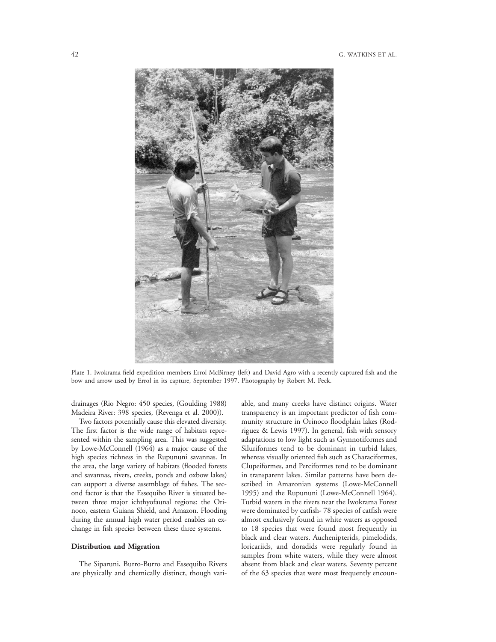

Plate 1. Iwokrama field expedition members Errol McBirney (left) and David Agro with a recently captured fish and the bow and arrow used by Errol in its capture, September 1997. Photography by Robert M. Peck.

drainages (Rio Negro: 450 species, (Goulding 1988) Madeira River: 398 species, (Revenga et al. 2000)).

Two factors potentially cause this elevated diversity. The first factor is the wide range of habitats represented within the sampling area. This was suggested by Lowe-McConnell (1964) as a major cause of the high species richness in the Rupununi savannas. In the area, the large variety of habitats (flooded forests and savannas, rivers, creeks, ponds and oxbow lakes) can support a diverse assemblage of fishes. The second factor is that the Essequibo River is situated between three major ichthyofaunal regions: the Orinoco, eastern Guiana Shield, and Amazon. Flooding during the annual high water period enables an exchange in fish species between these three systems.

#### **Distribution and Migration**

The Siparuni, Burro-Burro and Essequibo Rivers are physically and chemically distinct, though variable, and many creeks have distinct origins. Water transparency is an important predictor of fish community structure in Orinoco floodplain lakes (Rodriguez & Lewis 1997). In general, fish with sensory adaptations to low light such as Gymnotiformes and Siluriformes tend to be dominant in turbid lakes, whereas visually oriented fish such as Characiformes, Clupeiformes, and Perciformes tend to be dominant in transparent lakes. Similar patterns have been described in Amazonian systems (Lowe-McConnell 1995) and the Rupununi (Lowe-McConnell 1964). Turbid waters in the rivers near the Iwokrama Forest were dominated by catfish- 78 species of catfish were almost exclusively found in white waters as opposed to 18 species that were found most frequently in black and clear waters. Auchenipterids, pimelodids, loricariids, and doradids were regularly found in samples from white waters, while they were almost absent from black and clear waters. Seventy percent of the 63 species that were most frequently encoun-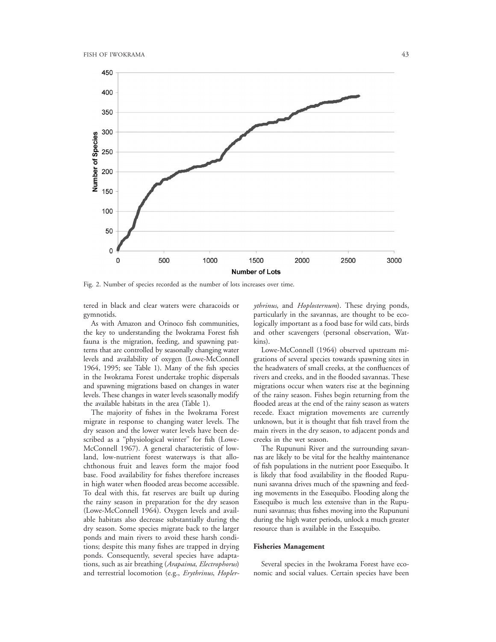

Fig. 2. Number of species recorded as the number of lots increases over time.

tered in black and clear waters were characoids or gymnotids.

As with Amazon and Orinoco fish communities, the key to understanding the Iwokrama Forest fish fauna is the migration, feeding, and spawning patterns that are controlled by seasonally changing water levels and availability of oxygen (Lowe-McConnell 1964, 1995; see Table 1). Many of the fish species in the Iwokrama Forest undertake trophic dispersals and spawning migrations based on changes in water levels. These changes in water levels seasonally modify the available habitats in the area (Table 1).

The majority of fishes in the Iwokrama Forest migrate in response to changing water levels. The dry season and the lower water levels have been described as a "physiological winter" for fish (Lowe-McConnell 1967). A general characteristic of lowland, low-nutrient forest waterways is that allochthonous fruit and leaves form the major food base. Food availability for fishes therefore increases in high water when flooded areas become accessible. To deal with this, fat reserves are built up during the rainy season in preparation for the dry season (Lowe-McConnell 1964). Oxygen levels and available habitats also decrease substantially during the dry season. Some species migrate back to the larger ponds and main rivers to avoid these harsh conditions; despite this many fishes are trapped in drying ponds. Consequently, several species have adaptations, such as air breathing (*Arapaima*, *Electrophorus*) and terrestrial locomotion (e.g., *Erythrinus*, *Hopler-* *ythrinus*, and *Hoplosternum*). These drying ponds, particularly in the savannas, are thought to be ecologically important as a food base for wild cats, birds and other scavengers (personal observation, Watkins).

Lowe-McConnell (1964) observed upstream migrations of several species towards spawning sites in the headwaters of small creeks, at the confluences of rivers and creeks, and in the flooded savannas. These migrations occur when waters rise at the beginning of the rainy season. Fishes begin returning from the flooded areas at the end of the rainy season as waters recede. Exact migration movements are currently unknown, but it is thought that fish travel from the main rivers in the dry season, to adjacent ponds and creeks in the wet season.

The Rupununi River and the surrounding savannas are likely to be vital for the healthy maintenance of fish populations in the nutrient poor Essequibo. It is likely that food availability in the flooded Rupununi savanna drives much of the spawning and feeding movements in the Essequibo. Flooding along the Essequibo is much less extensive than in the Rupununi savannas; thus fishes moving into the Rupununi during the high water periods, unlock a much greater resource than is available in the Essequibo.

#### **Fisheries Management**

Several species in the Iwokrama Forest have economic and social values. Certain species have been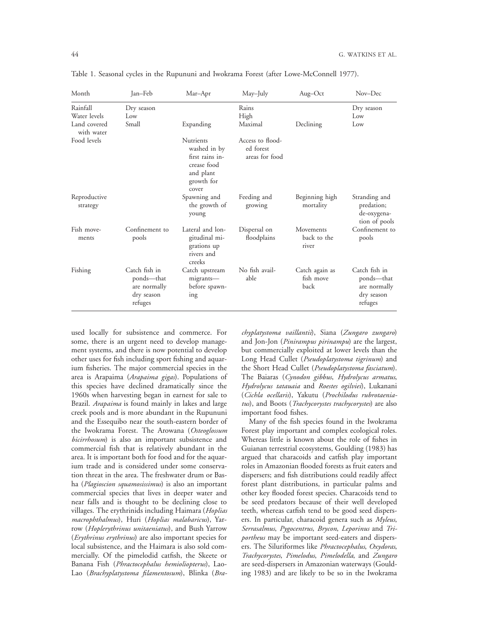| Month                      | Jan–Feb                                                              | Mar–Apr                                                                                         | May-July                                        | Aug-Oct                             | Nov-Dec                                                              |
|----------------------------|----------------------------------------------------------------------|-------------------------------------------------------------------------------------------------|-------------------------------------------------|-------------------------------------|----------------------------------------------------------------------|
| Rainfall<br>Water levels   | Dry season<br>Low                                                    |                                                                                                 | Rains<br>High                                   |                                     | Dry season<br>Low                                                    |
| Land covered<br>with water | Small                                                                | Expanding                                                                                       | Maximal                                         | Declining                           | Low                                                                  |
| Food levels                |                                                                      | Nutrients<br>washed in by<br>first rains in-<br>crease food<br>and plant<br>growth for<br>cover | Access to flood-<br>ed forest<br>areas for food |                                     |                                                                      |
| Reproductive<br>strategy   |                                                                      | Spawning and<br>the growth of<br>young                                                          | Feeding and<br>growing                          | Beginning high<br>mortality         | Stranding and<br>predation;<br>de-oxygena-<br>tion of pools          |
| Fish move-<br>ments        | Confinement to<br>pools                                              | Lateral and lon-<br>gitudinal mi-<br>grations up<br>rivers and<br>creeks                        | Dispersal on<br>floodplains                     | Movements<br>back to the<br>river   | Confinement to<br>pools                                              |
| Fishing                    | Catch fish in<br>ponds—that<br>are normally<br>dry season<br>refuges | Catch upstream<br>migrants-<br>before spawn-<br>ing                                             | No fish avail-<br>able                          | Catch again as<br>fish move<br>back | Catch fish in<br>ponds—that<br>are normally<br>dry season<br>refuges |

Table 1. Seasonal cycles in the Rupununi and Iwokrama Forest (after Lowe-McConnell 1977).

used locally for subsistence and commerce. For some, there is an urgent need to develop management systems, and there is now potential to develop other uses for fish including sport fishing and aquarium fisheries. The major commercial species in the area is Arapaima (*Arapaima gigas*). Populations of this species have declined dramatically since the 1960s when harvesting began in earnest for sale to Brazil. *Arapaima* is found mainly in lakes and large creek pools and is more abundant in the Rupununi and the Essequibo near the south-eastern border of the Iwokrama Forest. The Arowana (*Osteoglossum bicirrhosum*) is also an important subsistence and commercial fish that is relatively abundant in the area. It is important both for food and for the aquarium trade and is considered under some conservation threat in the area. The freshwater drum or Basha (*Plagioscion squamosissimus*) is also an important commercial species that lives in deeper water and near falls and is thought to be declining close to villages. The erythrinids including Haimara (*Hoplias macrophthalmus*), Huri (*Hoplias malabaricus*), Yarrow (*Hoplerythrinus unitaeniatus*), and Bush Yarrow (*Erythrinus erythrinus*) are also important species for local subsistence, and the Haimara is also sold commercially. Of the pimelodid catfish, the Skeete or Banana Fish (*Phractocephalus hemioliopterus*), Lao-Lao (*Brachyplatystoma filamentosum*), Blinka (*Bra-* *chyplatystoma vaillantii*), Siana (*Zungaro zungaro*) and Jon-Jon (*Pinirampus pirinampu*) are the largest, but commercially exploited at lower levels than the Long Head Cullet (*Pseudoplatystoma tigrinum*) and the Short Head Cullet (*Pseudoplatystoma fasciatum*). The Baiaras (*Cynodon gibbus*, *Hydrolycus armatus*, *Hydrolycus tatauaia* and *Roestes ogilviei*), Lukanani (*Cichla ocellaris*), Yakutu (*Prochilodus rubrotaeniatus*), and Boots (*Trachycorystes trachycorystes*) are also important food fishes.

Many of the fish species found in the Iwokrama Forest play important and complex ecological roles. Whereas little is known about the role of fishes in Guianan terrestrial ecosystems, Goulding (1983) has argued that characoids and catfish play important roles in Amazonian flooded forests as fruit eaters and dispersers; and fish distributions could readily affect forest plant distributions, in particular palms and other key flooded forest species. Characoids tend to be seed predators because of their well developed teeth, whereas catfish tend to be good seed dispersers. In particular, characoid genera such as *Myleus*, *Serrasalmus*, *Pygocentrus*, *Brycon*, *Leporinus* and *Triportheus* may be important seed-eaters and dispersers. The Siluriformes like *Phractocephalus*, *Oxydoras*, *Trachycorystes*, *Pimelodus*, *Pimelodella*, and *Zungaro* are seed-dispersers in Amazonian waterways (Goulding 1983) and are likely to be so in the Iwokrama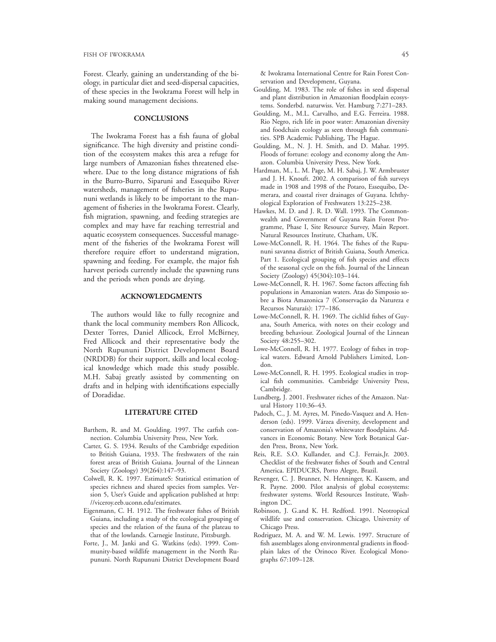Forest. Clearly, gaining an understanding of the biology, in particular diet and seed-dispersal capacities, of these species in the Iwokrama Forest will help in making sound management decisions.

#### **CONCLUSIONS**

The Iwokrama Forest has a fish fauna of global significance. The high diversity and pristine condition of the ecosystem makes this area a refuge for large numbers of Amazonian fishes threatened elsewhere. Due to the long distance migrations of fish in the Burro-Burro, Siparuni and Essequibo River watersheds, management of fisheries in the Rupununi wetlands is likely to be important to the management of fisheries in the Iwokrama Forest. Clearly, fish migration, spawning, and feeding strategies are complex and may have far reaching terrestrial and aquatic ecosystem consequences. Successful management of the fisheries of the Iwokrama Forest will therefore require effort to understand migration, spawning and feeding. For example, the major fish harvest periods currently include the spawning runs and the periods when ponds are drying.

#### **ACKNOWLEDGMENTS**

The authors would like to fully recognize and thank the local community members Ron Allicock, Dexter Torres, Daniel Allicock, Errol McBirney, Fred Allicock and their representative body the North Rupununi District Development Board (NRDDB) for their support, skills and local ecological knowledge which made this study possible. M.H. Sabaj greatly assisted by commenting on drafts and in helping with identifications especially of Doradidae.

#### **LITERATURE CITED**

- Barthem, R. and M. Goulding. 1997. The catfish connection. Columbia University Press, New York.
- Carter, G. S. 1934. Results of the Cambridge expedition to British Guiana, 1933. The freshwaters of the rain forest areas of British Guiana. Journal of the Linnean Society (Zoology) 39(264):147–93.
- Colwell, R. K. 1997. EstimateS: Statistical estimation of species richness and shared species from samples. Version 5, User's Guide and application published at http: //viceroy.eeb.uconn.edu/estimates.
- Eigenmann, C. H. 1912. The freshwater fishes of British Guiana, including a study of the ecological grouping of species and the relation of the fauna of the plateau to that of the lowlands. Carnegie Institute, Pittsburgh.
- Forte, J., M. Janki and G. Watkins (eds). 1999. Community-based wildlife management in the North Rupununi. North Rupununi District Development Board

& Iwokrama International Centre for Rain Forest Conservation and Development, Guyana.

- Goulding, M. 1983. The role of fishes in seed dispersal and plant distribution in Amazonian floodplain ecosystems. Sonderbd. naturwiss. Ver. Hamburg 7:271–283.
- Goulding, M., M.L. Carvalho, and E.G. Ferreira. 1988. Rio Negro, rich life in poor water: Amazonian diversity and foodchain ecology as seen through fish communities. SPB Academic Publishing, The Hague.
- Goulding, M., N. J. H. Smith, and D. Mahar. 1995. Floods of fortune: ecology and economy along the Amazon. Columbia University Press, New York.
- Hardman, M., L. M. Page, M. H. Sabaj, J. W. Armbruster and J. H. Knouft. 2002. A comparison of fish surveys made in 1908 and 1998 of the Potaro, Essequibo, Demerara, and coastal river drainages of Guyana. Ichthyological Exploration of Freshwaters 13:225–238.
- Hawkes, M. D. and J. R. D. Wall. 1993. The Commonwealth and Government of Guyana Rain Forest Programme, Phase I, Site Resource Survey, Main Report. Natural Resources Institute, Chatham, UK.
- Lowe-McConnell, R. H. 1964. The fishes of the Rupununi savanna district of British Guiana, South America. Part 1. Ecological grouping of fish species and effects of the seasonal cycle on the fish. Journal of the Linnean Society (Zoology) 45(304):103–144.
- Lowe-McConnell, R. H. 1967. Some factors affecting fish populations in Amazonian waters. Atas do Simposio sobre a Biota Amazonica 7 (Conservação da Natureza e Recursos Naturaís): 177-186.
- Lowe-McConnell, R. H. 1969. The cichlid fishes of Guyana, South America, with notes on their ecology and breeding behaviour. Zoological Journal of the Linnean Society 48:255-302.
- Lowe-McConnell, R. H. 1977. Ecology of fishes in tropical waters. Edward Arnold Publishers Limited, London.
- Lowe-McConnell, R. H. 1995. Ecological studies in tropical fish communities. Cambridge University Press, Cambridge.
- Lundberg, J. 2001. Freshwater riches of the Amazon. Natural History 110:36–43.
- Padoch, C., J. M. Ayres, M. Pinedo-Vasquez and A. Henderson (eds). 1999. Várzea diversity, development and conservation of Amazonia's whitewater floodplains. Advances in Economic Botany. New York Botanical Garden Press, Bronx, New York.
- Reis, R.E. S.O. Kullander, and C.J. Ferrais,Jr. 2003. Checklist of the freshwater fishes of South and Central America. EPIDUCRS, Porto Alegre, Brazil.
- Revenger, C. J. Brunner, N. Henninger, K. Kassem, and R. Payne. 2000. Pilot analysis of global ecosystems: freshwater systems. World Resources Institute, Washington DC.
- Robinson, J. G.and K. H. Redford. 1991. Neotropical wildlife use and conservation. Chicago, University of Chicago Press.
- Rodriguez, M. A. and W. M. Lewis. 1997. Structure of fish assemblages along environmental gradients in floodplain lakes of the Orinoco River. Ecological Monographs 67:109–128.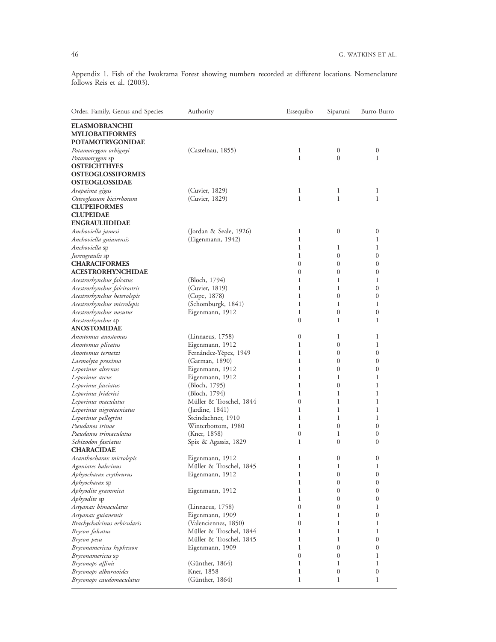Appendix 1. Fish of the Iwokrama Forest showing numbers recorded at different locations. Nomenclature follows Reis et al. (2003).

| Order, Family, Genus and Species                | Authority                                  | Essequibo        | Siparuni              | Burro-Burro           |
|-------------------------------------------------|--------------------------------------------|------------------|-----------------------|-----------------------|
| <b>ELASMOBRANCHII</b>                           |                                            |                  |                       |                       |
| <b>MYLIOBATIFORMES</b>                          |                                            |                  |                       |                       |
| POTAMOTRYGONIDAE                                |                                            |                  |                       |                       |
| Potamotrygon orbignyi                           | (Castelnau, 1855)                          | 1                | $\boldsymbol{0}$      | $\boldsymbol{0}$      |
| Potamotrygon sp                                 |                                            | 1                | $\mathbf{0}$          | 1                     |
| <b>OSTEICHTHYES</b>                             |                                            |                  |                       |                       |
| <b>OSTEOGLOSSIFORMES</b>                        |                                            |                  |                       |                       |
| <b>OSTEOGLOSSIDAE</b>                           |                                            |                  |                       |                       |
| Arapaima gigas                                  | (Cuvier, 1829)                             | 1                | 1                     | 1                     |
| Osteoglossum bicirrhosum<br><b>CLUPEIFORMES</b> | (Cuvier, 1829)                             | 1                | 1                     | 1                     |
|                                                 |                                            |                  |                       |                       |
| <b>CLUPEIDAE</b><br><b>ENGRAULIIDIDAE</b>       |                                            |                  |                       |                       |
|                                                 | (Jordan & Seale, 1926)                     | 1                | 0                     | $\boldsymbol{0}$      |
| Anchoviella jamesi<br>Anchoviella guianensis    | (Eigenmann, 1942)                          | 1                |                       | 1                     |
| Anchoviella sp                                  |                                            | 1                | 1                     | 1                     |
| <i>Jurengraulis</i> sp                          |                                            | 1                | $\boldsymbol{0}$      | $\boldsymbol{0}$      |
| <b>CHARACIFORMES</b>                            |                                            | $\boldsymbol{0}$ | $\boldsymbol{0}$      | $\boldsymbol{0}$      |
| <b>ACESTRORHYNCHIDAE</b>                        |                                            | $\mathbf{0}$     | $\mathbf{0}$          | $\mathbf{0}$          |
| Acestrorhynchus falcatus                        | (Bloch, 1794)                              | 1                | 1                     | 1                     |
| Acestrorhynchus falcirostris                    | (Cuvier, 1819)                             | 1                | 1                     | $\boldsymbol{0}$      |
| Acestrorhynchus heterolepis                     | (Cope, 1878)                               | 1                | $\mathbf{0}$          | $\mathbf{0}$          |
| Acestrorhynchus microlepis                      | (Schomburgk, 1841)                         | 1                | 1                     | 1                     |
| Acestrorhynchus nasutus                         | Eigenmann, 1912                            | 1                | $\boldsymbol{0}$      | $\boldsymbol{0}$      |
| Acestrorhynchus sp                              |                                            | $\mathbf{0}$     | 1                     | 1                     |
| <b>ANOSTOMIDAE</b>                              |                                            |                  |                       |                       |
| Anostomus anostomus                             | (Linnaeus, 1758)                           | 0                | 1                     | 1                     |
| Anostomus plicatus                              | Eigenmann, 1912                            | 1                | $\mathbf{0}$          | 1                     |
| Anostomus ternetzi                              | Fernández-Yépez, 1949                      | 1                | $\boldsymbol{0}$      | $\boldsymbol{0}$      |
| Laemolyta proxima                               | (Garman, 1890)                             | 1                | $\boldsymbol{0}$      | $\boldsymbol{0}$      |
| Leporinus alternus                              | Eigenmann, 1912                            | 1                | $\mathbf{0}$          | $\mathbf{0}$          |
| Leporinus arcus                                 | Eigenmann, 1912                            | 1                | 1                     | 1                     |
| Leporinus fasciatus                             | (Bloch, 1795)                              | 1                | $\boldsymbol{0}$      | 1                     |
| Leporinus friderici                             | (Bloch, 1794)                              | 1                | 1                     | 1                     |
| Leporinus maculatus                             | Müller & Troschel, 1844                    | 0                | 1                     | 1                     |
| Leporinus nigrotaeniatus                        | $($ Jardine, 1841)                         | 1                | 1                     | 1                     |
| Leporinus pellegrini                            | Steindachner, 1910                         | 1                | 1                     | 1                     |
| Pseudanos irinae                                | Winterbottom, 1980                         | 1                | $\boldsymbol{0}$      | $\boldsymbol{0}$      |
| Pseudanos trimaculatus                          | (Kner, 1858)                               | $\boldsymbol{0}$ | 1                     | $\boldsymbol{0}$      |
| Schizodon fasciatus                             | Spix & Agassiz, 1829                       | 1                | $\mathbf{0}$          | $\mathbf{0}$          |
| <b>CHARACIDAE</b>                               |                                            |                  |                       |                       |
| Acanthocharax microlepis                        | Eigenmann, 1912<br>Müller & Troschel, 1845 | 1<br>1           | $\boldsymbol{0}$<br>1 | $\boldsymbol{0}$<br>1 |
| Agoniates halecinus<br>Aphyocharax erythrurus   | Eigenmann, 1912                            | 1                | $\boldsymbol{0}$      | $\boldsymbol{0}$      |
|                                                 |                                            | $\mathbf{1}$     | $\boldsymbol{0}$      | $\boldsymbol{0}$      |
| Aphyocharax sp<br>Aphyodite grammica            | Eigenmann, 1912                            | 1                | 0                     | $\boldsymbol{0}$      |
| <i>Aphyodite</i> sp                             |                                            | 1                | $\boldsymbol{0}$      | $\boldsymbol{0}$      |
| Astyanax bimaculatus                            | (Linnaeus, 1758)                           | $\boldsymbol{0}$ | $\boldsymbol{0}$      | 1                     |
| Astyanax guianensis                             | Eigenmann, 1909                            | 1                | 1                     | $\boldsymbol{0}$      |
| Brachychalcinus orbicularis                     | (Valenciennes, 1850)                       | 0                | 1                     | 1                     |
| Brycon falcatus                                 | Müller & Troschel, 1844                    | 1                | 1                     | 1                     |
| Brycon pesu                                     | Müller & Troschel, 1845                    | 1                | 1                     | $\boldsymbol{0}$      |
| Bryconamericus hyphesson                        | Eigenmann, 1909                            | 1                | $\boldsymbol{0}$      | $\boldsymbol{0}$      |
| Bryconamericus sp                               |                                            | $\boldsymbol{0}$ | $\boldsymbol{0}$      | 1                     |
| Bryconops affinis                               | (Günther, 1864)                            | 1                | 1                     | 1                     |
| Bryconops alburnoides                           | Kner, 1858                                 | 1                | $\boldsymbol{0}$      | $\boldsymbol{0}$      |
| Bryconops caudomaculatus                        | (Günther, 1864)                            | $\mathbf{1}$     | 1                     | 1                     |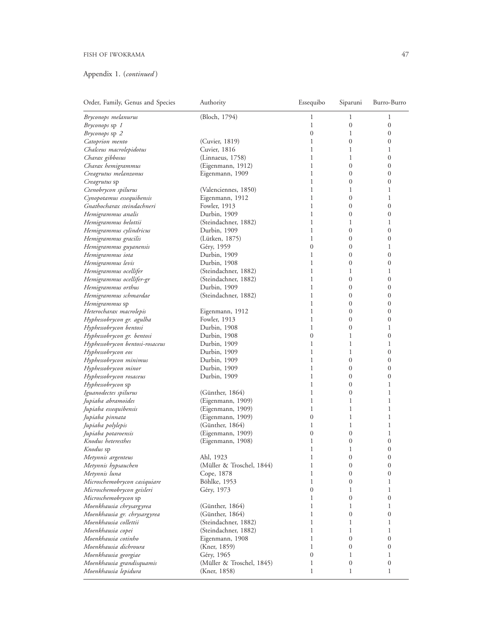Order, Family, Genus and Species Authority Essequibo Siparuni Burro-Burro

| $\sim$ . $\sim$ . $\sim$ . $\sim$ . $\sim$ . $\sim$ . $\sim$ . $\sim$ . $\sim$ . $\sim$ . $\sim$ . $\sim$ . $\sim$ . $\sim$ . $\sim$ . $\sim$ . $\sim$ . $\sim$ . $\sim$ . $\sim$ . $\sim$ . $\sim$ . $\sim$ . $\sim$ . $\sim$ . $\sim$ . $\sim$ . $\sim$ . $\sim$ . $\sim$ . $\sim$ . $\sim$ |                           |                  | $v_{\rm r}$      |                |
|-----------------------------------------------------------------------------------------------------------------------------------------------------------------------------------------------------------------------------------------------------------------------------------------------|---------------------------|------------------|------------------|----------------|
| Bryconops melanurus                                                                                                                                                                                                                                                                           | (Bloch, 1794)             | 1                | 1                | 1              |
| Bryconops sp 1                                                                                                                                                                                                                                                                                |                           | 1                | $\boldsymbol{0}$ | 0              |
| Bryconops sp 2                                                                                                                                                                                                                                                                                |                           | $\boldsymbol{0}$ | 1                | 0              |
| Catoprion mento                                                                                                                                                                                                                                                                               | (Cuvier, 1819)            | 1                | $\boldsymbol{0}$ | 0              |
| Chalceus macrolepidotus                                                                                                                                                                                                                                                                       | Cuvier, 1816              | 1                | 1                | 1              |
| Charax gibbosus                                                                                                                                                                                                                                                                               | (Linnaeus, 1758)          | $\mathbf{1}$     | $\mathbf{1}$     | 0              |
| Charax hemigrammus                                                                                                                                                                                                                                                                            | (Eigenmann, 1912)         | 1                | $\boldsymbol{0}$ | 0              |
| Creagrutus melanzonus                                                                                                                                                                                                                                                                         | Eigenmann, 1909           | 1                | 0                | 0              |
| Creagrutus sp                                                                                                                                                                                                                                                                                 |                           | 1                | 0                | 0              |
| Ctenobrycon spilurus                                                                                                                                                                                                                                                                          | (Valenciennes, 1850)      | 1                | 1                | 1              |
| Cynopotamus essequibensis                                                                                                                                                                                                                                                                     | Eigenmann, 1912           | 1                | $\mathbf{0}$     | 1              |
| Gnathocharax steindachneri                                                                                                                                                                                                                                                                    | Fowler, 1913              | 1                | 0                | 0              |
| Hemigrammus analis                                                                                                                                                                                                                                                                            | Durbin, 1909              | 1                | 0                | 0              |
| Hemigrammus belottii                                                                                                                                                                                                                                                                          | (Steindachner, 1882)      | 1                | 1                | 1              |
| Hemigrammus cylindricus                                                                                                                                                                                                                                                                       | Durbin, 1909              | 1                | $\boldsymbol{0}$ | 0              |
| Hemigrammus gracilis                                                                                                                                                                                                                                                                          | (Lütken, 1875)            | 1                | 0                | 0              |
| Hemigrammus guyanensis                                                                                                                                                                                                                                                                        | Géry, 1959                | $\boldsymbol{0}$ | 0                | 1              |
| Hemigrammus iota                                                                                                                                                                                                                                                                              | Durbin, 1909              | 1                | 0                | 0              |
| Hemigrammus levis                                                                                                                                                                                                                                                                             | Durbin, 1908              | 1                | 0                | 0              |
| Hemigrammus ocellifer                                                                                                                                                                                                                                                                         | (Steindachner, 1882)      | 1                | 1                | 1              |
| Hemigrammus ocellifer-gr                                                                                                                                                                                                                                                                      | (Steindachner, 1882)      | 1                | $\overline{0}$   | 0              |
| Hemigrammus orthus                                                                                                                                                                                                                                                                            | Durbin, 1909              | 1                | 0                | 0              |
| Hemigrammus schmardae                                                                                                                                                                                                                                                                         | (Steindachner, 1882)      | 1                | 0                | 0              |
| Hemigrammus sp                                                                                                                                                                                                                                                                                |                           | 1                | 0                | 0              |
| Heterocharax macrolepis                                                                                                                                                                                                                                                                       | Eigenmann, 1912           | 1                | 0                | 0              |
| Hyphessobrycon gr. agulha                                                                                                                                                                                                                                                                     | Fowler, 1913              | 1                | 0                | 0              |
| Hyphessobrycon bentosi                                                                                                                                                                                                                                                                        | Durbin, 1908              | $\mathbf{1}$     | 0                | 1              |
| Hyphessobrycon gr. bentosi                                                                                                                                                                                                                                                                    | Durbin, 1908              | $\boldsymbol{0}$ | 1                | 0              |
| Hyphessobrycon bentosi-rosaceus                                                                                                                                                                                                                                                               | Durbin, 1909              | 1                | 1                | 1              |
| Hyphessobrycon eos                                                                                                                                                                                                                                                                            | Durbin, 1909              | $\mathbf{1}$     | $\mathbf{1}$     | 0              |
| Hyphessobrycon minimus                                                                                                                                                                                                                                                                        | Durbin, 1909              | 1                | 0                | 0              |
| Hyphessobrycon minor                                                                                                                                                                                                                                                                          | Durbin, 1909              | 1                | 0                | 0              |
| Hyphessobrycon rosaceus                                                                                                                                                                                                                                                                       | Durbin, 1909              | 1                | 0                | 0              |
| Hyphessobrycon sp                                                                                                                                                                                                                                                                             |                           | 1                | 0                | 1              |
| Iguanodectes spilurus                                                                                                                                                                                                                                                                         | (Günther, 1864)           | 1                | 0                | 1              |
| Jupiaba abramoides                                                                                                                                                                                                                                                                            | (Eigenmann, 1909)         | 1                | $\mathbf{1}$     | 1              |
| Jupiaba essequibensis                                                                                                                                                                                                                                                                         | (Eigenmann, 1909)         | 1                | 1                | 1              |
| Jupiaba pinnata                                                                                                                                                                                                                                                                               | (Eigenmann, 1909)         | $\boldsymbol{0}$ | $\mathbf{1}$     | 1              |
| Jupiaba polylepis                                                                                                                                                                                                                                                                             | (Günther, 1864)           | 1                | $\mathbf{1}$     | 1              |
| Jupiaba potaroensis                                                                                                                                                                                                                                                                           | (Eigenmann, 1909)         | $\boldsymbol{0}$ | $\boldsymbol{0}$ | 1              |
| Knodus heteresthes                                                                                                                                                                                                                                                                            | (Eigenmann, 1908)         | 1                | 0                | 0              |
| Knodus sp                                                                                                                                                                                                                                                                                     |                           | 1                | 1                | 0              |
| Metynnis argenteus                                                                                                                                                                                                                                                                            | Ahl, 1923                 | 1                | $\boldsymbol{0}$ | 0              |
| Metynnis hypsauchen                                                                                                                                                                                                                                                                           | (Müller & Troschel, 1844) | 1                | $\overline{0}$   | $\overline{0}$ |
| Metynnis luna                                                                                                                                                                                                                                                                                 | Cope, 1878                | 1                | 0                | 0              |
| Microschemobrycon casiquiare                                                                                                                                                                                                                                                                  | Böhlke, 1953              | 1                | 0                | 1              |
| Microschemobrycon geisleri                                                                                                                                                                                                                                                                    | Géry, 1973                | $\boldsymbol{0}$ | 1                | 1              |
| Microschemobrycon sp                                                                                                                                                                                                                                                                          |                           | 1                | $\overline{0}$   | 0              |
| Moenkhausia chrysargyrea                                                                                                                                                                                                                                                                      | (Günther, 1864)           | 1                | 1                | 1              |
| Moenkhausia gr. chrysargyrea                                                                                                                                                                                                                                                                  | (Günther, 1864)           | 1                | $\mathbf{0}$     | 0              |
| Moenkhausia collettii                                                                                                                                                                                                                                                                         | (Steindachner, 1882)      | 1                | 1                | 1              |
| Moenkhausia copei                                                                                                                                                                                                                                                                             | (Steindachner, 1882)      | 1                | 1                | 1              |
| Moenkhausia cotinho                                                                                                                                                                                                                                                                           | Eigenmann, 1908           | 1                | $\mathbf{0}$     | $\overline{0}$ |
| Moenkhausia dichroura                                                                                                                                                                                                                                                                         | (Kner, 1859)              | 1                | $\mathbf{0}$     | 0              |
| Moenkhausia georgiae                                                                                                                                                                                                                                                                          | Géry, 1965                | $\boldsymbol{0}$ | 1                | 1              |
| Moenkhausia grandisquamis                                                                                                                                                                                                                                                                     | (Müller & Troschel, 1845) | 1                | 0                | 0              |
| Moenkhausia lepidura                                                                                                                                                                                                                                                                          | (Kner, 1858)              | 1                | 1                | 1              |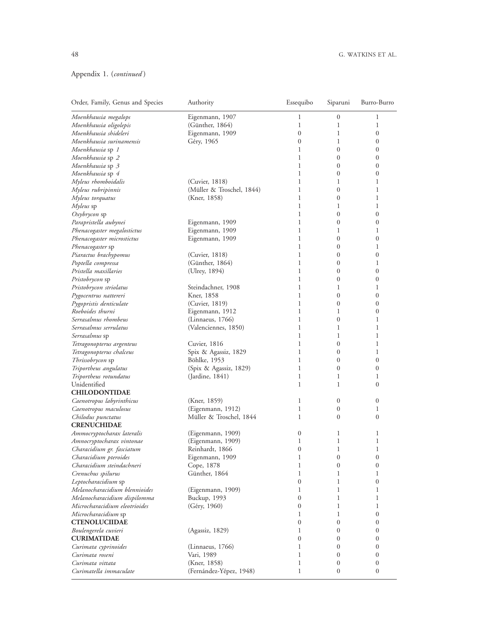| Order, Family, Genus and Species | Authority                 | Essequibo        | Siparuni         | Burro-Burro      |
|----------------------------------|---------------------------|------------------|------------------|------------------|
| Moenkhausia megalops             | Eigenmann, 1907           | 1                | 0                | 1                |
| Moenkhausia oligolepis           | (Günther, 1864)           | 1                | 1                | 1                |
| Moenkhausia shideleri            | Eigenmann, 1909           | $\boldsymbol{0}$ | 1                | $\boldsymbol{0}$ |
| Moenkhausia surinamensis         | Géry, 1965                | $\boldsymbol{0}$ | 1                | $\boldsymbol{0}$ |
| Moenkhausia sp 1                 |                           | 1                | $\boldsymbol{0}$ | $\boldsymbol{0}$ |
| Moenkhausia sp 2                 |                           | 1                | $\boldsymbol{0}$ | $\boldsymbol{0}$ |
| Moenkhausia sp 3                 |                           | 1                | $\boldsymbol{0}$ | $\boldsymbol{0}$ |
| Moenkhausia sp 4                 |                           | 1                | $\boldsymbol{0}$ | $\boldsymbol{0}$ |
| Myleus rhomboidalis              | (Cuvier, 1818)            | 1                | 1                | 1                |
| Myleus rubripinnis               | (Müller & Troschel, 1844) | 1                | $\boldsymbol{0}$ | 1                |
| Myleus torquatus                 | (Kner, 1858)              | 1                | $\boldsymbol{0}$ | 1                |
| Myleus sp                        |                           | 1                | 1                | 1                |
| $Oxy$ brycon sp                  |                           | 1                | $\boldsymbol{0}$ | $\mathbf{0}$     |
| Parapristella aubynei            | Eigenmann, 1909           | 1                | $\boldsymbol{0}$ | $\boldsymbol{0}$ |
| Phenacogaster megalostictus      | Eigenmann, 1909           | 1                | 1                | 1                |
| Phenacogaster microstictus       | Eigenmann, 1909           | 1                | $\boldsymbol{0}$ | $\boldsymbol{0}$ |
| Phenacogaster sp                 |                           | 1                | $\boldsymbol{0}$ | 1                |
| Piaractus brachypomus            | (Cuvier, 1818)            | 1                | $\boldsymbol{0}$ | $\mathbf{0}$     |
| Poptella compressa               | (Günther, 1864)           | 1                | $\boldsymbol{0}$ | 1                |
| Pristella maxillaries            | (Ulrey, 1894)             | 1                | $\boldsymbol{0}$ | $\boldsymbol{0}$ |
| Pristobrycon sp                  |                           | 1                | $\boldsymbol{0}$ | $\boldsymbol{0}$ |
| Pristobrycon striolatus          | Steindachner, 1908        | 1                | 1                | 1                |
| Pygocentrus nattereri            | Kner, 1858                | 1                | $\boldsymbol{0}$ | $\boldsymbol{0}$ |
| Pygopristis denticulate          | (Cuvier, 1819)            | 1                | $\boldsymbol{0}$ | $\boldsymbol{0}$ |
| Roeboides thurni                 | Eigenmann, 1912           | 1                | 1                | $\boldsymbol{0}$ |
| Serrasalmus rhombeus             | (Linnaeus, 1766)          | 1                | $\boldsymbol{0}$ | 1                |
| Serrasalmus serrulatus           | (Valenciennes, 1850)      | 1                | 1                | 1                |
| <i>Serrasalmus</i> sp            |                           | 1                | 1                | 1                |
| Tetragonopterus argenteus        | Cuvier, 1816              | 1                | $\boldsymbol{0}$ | 1                |
| Tetragonopterus chalceus         | Spix & Agassiz, 1829      | 1                | $\boldsymbol{0}$ | 1                |
| Thrissobrycon sp                 | Böhlke, 1953              | 1                | $\boldsymbol{0}$ | $\mathbf{0}$     |
| Triportheus angulatus            | (Spix & Agassiz, 1829)    | 1                | $\boldsymbol{0}$ | $\boldsymbol{0}$ |
| Triportheus rotundatus           | (Jardine, 1841)           | 1                | 1                | 1                |
| Unidentified                     |                           | $\mathbf{1}$     | 1                | 0                |
| <b>CHILODONTIDAE</b>             |                           |                  |                  |                  |
| Caenotropus labyrinthicus        | (Kner, 1859)              | 1                | 0                | $\boldsymbol{0}$ |
| Caenotropus maculosus            | (Eigenmann, 1912)         | 1                | 0                | 1                |
| Chilodus punctatus               | Müller & Troschel, 1844   | 1                | 0                | $\boldsymbol{0}$ |
| <b>CRENUCHIDAE</b>               |                           |                  |                  |                  |
| Ammocryptocharax lateralis       | (Eigenmann, 1909)         | $\boldsymbol{0}$ | 1                | 1                |
| Amnocryptocharax vintonae        | (Eigenmann, 1909)         | 1                | 1                | 1                |
| Characidium gr. fasciatum        | Reinhardt, 1866           | $\boldsymbol{0}$ | 1                | 1                |
| Characidium pteroides            | Eigenmann, 1909           | $\mathbf{1}$     | $\overline{0}$   | $\mathbf{0}$     |
| Characidium steindachneri        | Cope, 1878                | 1                | 0                | $\boldsymbol{0}$ |
| Crenuchus spilurus               | Günther, 1864             | $\mathbf{1}$     | 1                | 1                |
| Leptocharacidium sp              |                           | $\boldsymbol{0}$ | 1                | $\mathbf{0}$     |
| Melanocharacidium blennioides    | (Eigenmann, 1909)         | 1                | 1                | 1                |
| Melanocharacidium dispilomma     | Buckup, 1993              | $\boldsymbol{0}$ | 1                | 1                |
| Microcharacidium eleotrioides    | (Géry, 1960)              | $\mathbf{0}$     | 1                | 1                |
| Microcharacidium sp              |                           | 1                | 1                | $\boldsymbol{0}$ |
| <b>CTENOLUCIIDAE</b>             |                           | $\boldsymbol{0}$ | 0                | $\boldsymbol{0}$ |
| Boulengerela cuvieri             | (Agassiz, 1829)           | 1                | $\mathbf{0}$     | $\boldsymbol{0}$ |
| <b>CURIMATIDAE</b>               |                           | $\boldsymbol{0}$ | 0                | $\boldsymbol{0}$ |
| Curimata cyprinoides             | (Linnaeus, 1766)          | 1                | 0                | $\boldsymbol{0}$ |
| Curimata roseni                  | Vari, 1989                | 1                | 0                | $\boldsymbol{0}$ |
| Curimata vittata                 | (Kner, 1858)              | 1                | 0                | $\boldsymbol{0}$ |
| Curimatella immaculate           | (Fernández-Yépez, 1948)   | 1                | 0                | $\boldsymbol{0}$ |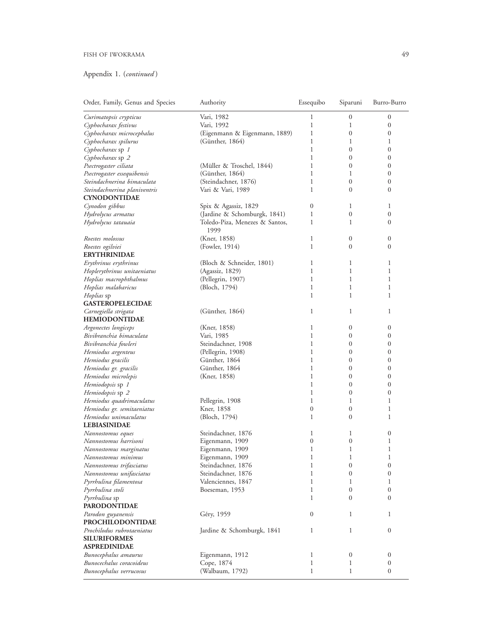| Order, Family, Genus and Species                 | Authority                              | Essequibo        | Siparuni          | Burro-Burro                          |
|--------------------------------------------------|----------------------------------------|------------------|-------------------|--------------------------------------|
| Curimatopsis crypticus                           | Vari, 1982                             | 1                | $\boldsymbol{0}$  | $\boldsymbol{0}$                     |
| Cyphocharax festivus                             | Vari, 1992                             | 1                | 1                 | $\boldsymbol{0}$                     |
| Cyphocharax microcephalus                        | (Eigenmann & Eigenmann, 1889)          | $\mathbf{1}$     | $\boldsymbol{0}$  | $\boldsymbol{0}$                     |
| Cyphocharax spilurus                             | (Günther, 1864)                        | 1                | 1                 | 1                                    |
| Cyphocharax sp 1                                 |                                        | 1                | $\mathbf{0}$      | $\boldsymbol{0}$                     |
| Cyphocharax sp 2                                 |                                        | 1                | $\mathbf{0}$      | $\boldsymbol{0}$                     |
| Psectrogaster ciliata                            | (Müller & Troschel, 1844)              | 1                | $\mathbf{0}$      | $\boldsymbol{0}$                     |
| Psectrogaster essequibensis                      | (Günther, 1864)                        | 1                | 1                 | $\boldsymbol{0}$                     |
| Steindachnerina bimaculata                       | (Steindachner, 1876)                   | 1                | $\mathbf{0}$      | $\boldsymbol{0}$                     |
| Steindachnerina planiventris                     | Vari & Vari, 1989                      | 1                | $\mathbf{0}$      | $\mathbf{0}$                         |
| <b>CYNODONTIDAE</b>                              |                                        |                  |                   |                                      |
| Cynodon gibbus                                   | Spix & Agassiz, 1829                   | 0                | 1                 | 1                                    |
| Hydrolycus armatus                               | (Jardine & Schomburgk, 1841)           | 1                | $\mathbf{0}$      | $\boldsymbol{0}$                     |
| Hydrolycus tatauaia                              | Toledo-Piza, Menezes & Santos,<br>1999 | 1                | 1                 | $\boldsymbol{0}$                     |
| Roestes molossus                                 | (Kner, 1858)                           | 1                | $\mathbf{0}$      | $\boldsymbol{0}$                     |
| Roestes ogilviei<br><b>ERYTHRINIDAE</b>          | (Fowler, 1914)                         | 1                | $\mathbf{0}$      | $\boldsymbol{0}$                     |
| Erythrinus erythrinus                            | (Bloch & Schneider, 1801)              | 1                | 1                 | 1                                    |
| Hoplerythrinus unitaeniatus                      | (Agassiz, 1829)                        | 1                | $\mathbf{1}$      | 1                                    |
| Hoplias macrophthalmus                           | (Pellegrin, 1907)                      | 1                | $\mathbf{1}$      | 1                                    |
| Hoplias malabaricus                              | (Bloch, 1794)                          | 1                | 1                 | 1                                    |
| Hoplias sp<br><b>GASTEROPELECIDAE</b>            |                                        | 1                | $\mathbf{1}$      | 1                                    |
| Carnegiella strigata<br><b>HEMIODONTIDAE</b>     | (Günther, 1864)                        | 1                | 1                 | 1                                    |
| Argonectes longiceps                             | (Kner, 1858)                           | 1                | $\boldsymbol{0}$  | $\mathbf{0}$                         |
| Bivibranchia bimaculata                          | Vari, 1985                             | 1                | $\mathbf{0}$      | $\boldsymbol{0}$                     |
| Bivibranchia fowleri                             | Steindachner, 1908                     | 1                | $\boldsymbol{0}$  | $\boldsymbol{0}$                     |
| Hemiodus argenteus                               | (Pellegrin, 1908)                      | 1                | $\boldsymbol{0}$  | $\boldsymbol{0}$                     |
| Hemiodus gracilis                                | Günther, 1864                          | 1                | $\mathbf{0}$      | $\mathbf{0}$                         |
| Hemiodus gr. gracilis                            | Günther, 1864                          | 1                | $\boldsymbol{0}$  | $\boldsymbol{0}$                     |
| Hemiodus microlepis                              | (Kner, 1858)                           | $\mathbf{1}$     | $\boldsymbol{0}$  | $\boldsymbol{0}$                     |
| Hemiodopsis sp 1                                 |                                        | 1                | $\mathbf{0}$      | $\boldsymbol{0}$                     |
| Hemiodopsis sp 2                                 |                                        | 1                | $\boldsymbol{0}$  | $\boldsymbol{0}$                     |
| Hemiodus quadrimaculatus                         | Pellegrin, 1908                        | 1                | 1                 | 1                                    |
| Hemiodus gr. semitaeniatus                       | Kner, 1858                             | $\mathbf{0}$     | $\mathbf{0}$      | 1                                    |
| Hemiodus unimaculatus                            | (Bloch, 1794)                          | 1                | $\mathbf{0}$      | 1                                    |
| <b>LEBIASINIDAE</b>                              |                                        |                  |                   |                                      |
| Nannostomus eques                                | Steindachner, 1876                     | 1                | 1                 | $\boldsymbol{0}$                     |
| Nannostomus harrisoni                            | Eigenmann, 1909                        | $\boldsymbol{0}$ | $\boldsymbol{0}$  | 1                                    |
| Nannostomus marginatus                           | Eigenmann, 1909                        | $\mathbf{1}$     | $\mathbf{1}$      | 1                                    |
| Nannostomus minimus                              | Eigenmann, 1909                        | 1                | 1                 | 1                                    |
| Nannostomus trifasciatus                         | Steindachner, 1876                     | 1                | $\boldsymbol{0}$  | $\boldsymbol{0}$                     |
| Nannostomus unifasciatus                         | Steindachner, 1876                     | 1                | $\boldsymbol{0}$  | $\boldsymbol{0}$                     |
| Pyrrhulina filamentosa                           | Valenciennes, 1847                     | 1                | 1                 | 1                                    |
| Pyrrhulina stoli                                 | Boeseman, 1953                         | 1                | $\boldsymbol{0}$  | $\boldsymbol{0}$                     |
| Pyrrhulina sp                                    |                                        | 1                | $\boldsymbol{0}$  | $\boldsymbol{0}$                     |
| <b>PARODONTIDAE</b>                              |                                        |                  |                   |                                      |
| Parodon guyanensis<br><b>PROCHILODONTIDAE</b>    | Géry, 1959                             | $\boldsymbol{0}$ | 1                 | 1                                    |
| Prochilodus rubrotaeniatus                       | Jardine & Schomburgk, 1841             | 1                | 1                 | $\boldsymbol{0}$                     |
| <b>SILURIFORMES</b>                              |                                        |                  |                   |                                      |
| <b>ASPREDINIDAE</b>                              |                                        |                  |                   |                                      |
| Bunocephalus amaurus<br>Bunocechalus coracoideus | Eigenmann, 1912                        | 1<br>1           | 0<br>$\mathbf{1}$ | $\boldsymbol{0}$<br>$\boldsymbol{0}$ |
| Bunocephalus verrucosus                          | Cope, 1874<br>(Walbaum, 1792)          | 1                | 1                 | $\boldsymbol{0}$                     |
|                                                  |                                        |                  |                   |                                      |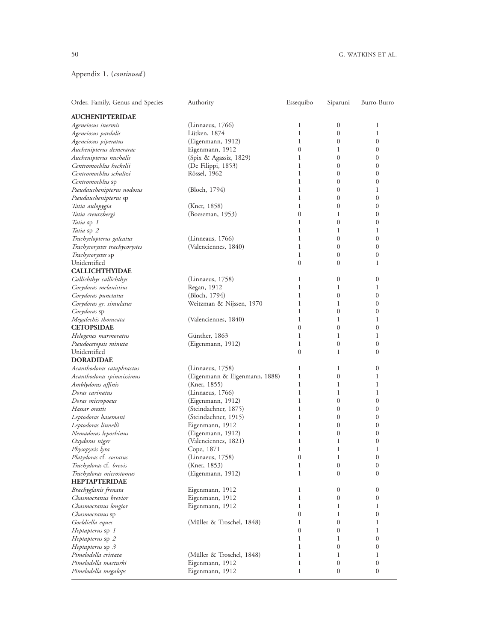| Order, Family, Genus and Species | Authority                     | Essequibo        | Siparuni         | Burro-Burro      |
|----------------------------------|-------------------------------|------------------|------------------|------------------|
| <b>AUCHENIPTERIDAE</b>           |                               |                  |                  |                  |
| Ageneiosus inermis               | (Linnaeus, 1766)              | 1                | $\boldsymbol{0}$ | 1                |
| Ageneiosus pardalis              | Lütken, 1874                  | 1                | $\boldsymbol{0}$ | 1                |
| Ageneiosus piperatus             | (Eigenmann, 1912)             | 1                | $\boldsymbol{0}$ | $\boldsymbol{0}$ |
| Auchenipterus demerarae          | Eigenmann, 1912               | $\boldsymbol{0}$ | 1                | 0                |
| Auchenipterus nuchalis           | (Spix & Agassiz, 1829)        | 1                | $\boldsymbol{0}$ | $\boldsymbol{0}$ |
| Centromochlus heckelii           | (De Filippi, 1853)            | 1                | 0                | $\boldsymbol{0}$ |
| Centromochlus schultzi           | Rössel, 1962                  | 1                | $\boldsymbol{0}$ | $\boldsymbol{0}$ |
| <i>Centromochlus</i> sp          |                               | 1                | $\boldsymbol{0}$ | 0                |
| Pseudauchenipterus nodosus       | (Bloch, 1794)                 | 1                | 0                | 1                |
| Pseudauchenipterus sp            |                               | 1                | $\boldsymbol{0}$ | $\boldsymbol{0}$ |
| Tatia aulopygia                  | (Kner, 1858)                  | 1                | $\boldsymbol{0}$ | $\boldsymbol{0}$ |
| Tatia creutzbergi                | (Boeseman, 1953)              | $\boldsymbol{0}$ | 1                | $\boldsymbol{0}$ |
| Tatia sp 1                       |                               | 1                | $\boldsymbol{0}$ | $\boldsymbol{0}$ |
| Tatia sp 2                       |                               | 1                | 1                | 1                |
| Trachyelopterus galeatus         | (Linneaus, 1766)              | 1                | 0                | $\boldsymbol{0}$ |
| Trachycorystes trachycorystes    | (Valenciennes, 1840)          | 1                | $\boldsymbol{0}$ | $\boldsymbol{0}$ |
| Trachycorystes sp                |                               | 1                | $\boldsymbol{0}$ | $\boldsymbol{0}$ |
| Unidentified                     |                               | $\boldsymbol{0}$ | $\mathbf{0}$     | 1                |
| <b>CALLICHTHYIDAE</b>            |                               |                  |                  |                  |
| Callichthys callichthys          | (Linnaeus, 1758)              | 1                | $\boldsymbol{0}$ | $\boldsymbol{0}$ |
| Corydoras melanistius            | Regan, 1912                   | 1                | 1                | 1                |
| Corydoras punctatus              | (Bloch, 1794)                 | 1                | $\boldsymbol{0}$ | $\boldsymbol{0}$ |
| Corydoras gr. simulatus          | Weitzman & Nijssen, 1970      | 1                | 1                | $\boldsymbol{0}$ |
| Corydoras sp                     |                               | 1                | $\boldsymbol{0}$ | $\boldsymbol{0}$ |
| Megalechis thoracata             | (Valenciennes, 1840)          | 1                | 1                | 1                |
| <b>CETOPSIDAE</b>                |                               | $\boldsymbol{0}$ | $\boldsymbol{0}$ | 0                |
| Helogenes marmoratus             | Günther, 1863                 | 1                | 1                | 1                |
| Pseudocetopsis minuta            | (Eigenmann, 1912)             | 1                | $\boldsymbol{0}$ | $\boldsymbol{0}$ |
| Unidentified                     |                               | $\boldsymbol{0}$ | 1                | 0                |
| <b>DORADIDAE</b>                 |                               |                  |                  |                  |
| Acanthodoras cataphractus        | (Linnaeus, 1758)              | 1                | 1                | 0                |
| Acanthodoras spinosissimus       | (Eigenmann & Eigenmann, 1888) | 1                | $\boldsymbol{0}$ | 1                |
| Amblydoras affinis               | (Kner, 1855)                  | 1                | 1                | 1                |
| Doras carinatus                  | (Linnaeus, 1766)              | $\mathbf{1}$     | 1                | 1                |
| Doras micropoeus                 | (Eigenmann, 1912)             | 1                | $\boldsymbol{0}$ | 0                |
| Hassar orestis                   | (Steindachner, 1875)          | 1                | $\boldsymbol{0}$ | $\boldsymbol{0}$ |
| Leptodoras hasemani              | (Steindachner, 1915)          | 1                | $\boldsymbol{0}$ | $\boldsymbol{0}$ |
| Leptodoras linnelli              | Eigenmann, 1912               | 1                | $\boldsymbol{0}$ | 0                |
| Nemadoras leporhinus             | (Eigenmann, 1912)             | 1                | $\boldsymbol{0}$ | $\boldsymbol{0}$ |
| Oxydoras niger                   | (Valenciennes, 1821)          | 1                | 1                | $\boldsymbol{0}$ |
| Physopyxis lyra                  | Cope, 1871                    | 1                | 1                | 1                |
| Platydoras cf. costatus          | (Linnaeus, 1758)              | 0                | 1                | $\mathbf{0}$     |
| Trachydoras ct. brevis           | (Kner, 1853)                  | 1                | $\boldsymbol{0}$ | $\boldsymbol{0}$ |
| Trachydoras microstomus          | (Eigenmann, 1912)             | 1                | 0                | $\boldsymbol{0}$ |
| <b>HEPTAPTERIDAE</b>             |                               |                  |                  |                  |
| Brachyglanis frenata             | Eigenmann, 1912               | 1                | $\boldsymbol{0}$ | 0                |
| Chasmocranus brevior             | Eigenmann, 1912               | 1                | $\boldsymbol{0}$ | 0                |
| Chasmocranus longior             | Eigenmann, 1912               | 1                | 1                | 1                |
| Chasmocranus sp                  |                               | 0                | 1                | 0                |
| Goeldiella eques                 | (Müller & Troschel, 1848)     | 1                | $\boldsymbol{0}$ | 1                |
| Heptapterus sp 1                 |                               | 0                | $\boldsymbol{0}$ | 1                |
| Heptapterus sp 2                 |                               | 1                | 1                | 0                |
| Heptapterus sp 3                 |                               | 1                | $\boldsymbol{0}$ | 0                |
| Pimelodella cristata             | (Müller & Troschel, 1848)     | 1                | 1                | 1                |
| Pimelodella macturki             | Eigenmann, 1912               | 1                | $\boldsymbol{0}$ | $\boldsymbol{0}$ |
| Pimelodella megalops             | Eigenmann, 1912               | 1                | $\boldsymbol{0}$ | 0                |
|                                  |                               |                  |                  |                  |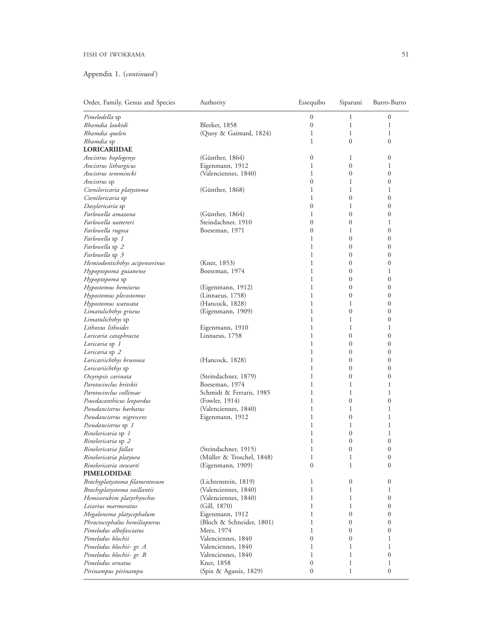| Order, Family, Genus and Species             | Authority                 | Essequibo        | Siparuni         | Burro-Burro      |
|----------------------------------------------|---------------------------|------------------|------------------|------------------|
| Pimelodella sp                               |                           | $\boldsymbol{0}$ | 1                | $\mathbf{0}$     |
| Rhamdia laukidi                              | Bleeker, 1858             | $\boldsymbol{0}$ | 1                | 1                |
| Rhamdia quelen                               | (Quoy & Gaimard, 1824)    | 1                | 1                | 1                |
| Rhamdia sp<br><b>LORICARIIDAE</b>            |                           | 1                | $\mathbf{0}$     | $\mathbf{0}$     |
| Ancistrus hoplogenys                         | (Günther, 1864)           | 0                | 1                | $\mathbf{0}$     |
| Ancistrus lithurgicus                        | Eigenmann, 1912           | 1                | $\mathbf{0}$     | 1                |
| Ancistrus temmincki                          | (Valenciennes, 1840)      | 1                | $\boldsymbol{0}$ | $\boldsymbol{0}$ |
| Ancistrus sp                                 |                           | $\boldsymbol{0}$ | 1                | $\boldsymbol{0}$ |
| Cteniloricaria platystoma                    | (Günther, 1868)           | 1                | 1                | 1                |
| Cteniloricaria sp                            |                           | 1                | $\overline{0}$   | $\boldsymbol{0}$ |
| Dasyloricaria sp                             |                           | $\boldsymbol{0}$ | 1                | $\boldsymbol{0}$ |
| Farlowella amazona                           | (Günther, 1864)           | 1                | $\mathbf{0}$     | $\boldsymbol{0}$ |
| Farlowella nattereri                         | Steindachner, 1910        | $\boldsymbol{0}$ | $\boldsymbol{0}$ | 1                |
| Farlowella rugosa                            | Boeseman, 1971            | $\boldsymbol{0}$ | 1                | $\boldsymbol{0}$ |
| Farlowella sp 1                              |                           | 1                | $\mathbf{0}$     | $\mathbf{0}$     |
| Farlowella sp 2                              |                           | 1                | $\boldsymbol{0}$ | 0                |
| Farlowella sp 3                              |                           | 1                | $\mathbf{0}$     | $\boldsymbol{0}$ |
| Hemiodontichthys acipenserinus               | (Kner, 1853)              | 1                | $\mathbf{0}$     | $\boldsymbol{0}$ |
| Hypoptopoma guianense                        | Boeseman, 1974            | 1                | $\boldsymbol{0}$ | 1                |
| Hypoptopoma sp                               |                           | 1                | $\mathbf{0}$     | $\boldsymbol{0}$ |
| Hypostomus hemiurus                          | (Eigenmann, 1912)         | 1                | $\mathbf{0}$     | $\mathbf{0}$     |
| Hypostomus plecostomus                       | (Linnaeus, 1758)          | 1                | $\boldsymbol{0}$ | 0                |
| Hypostomus watwata                           | (Hancock, 1828)           | 1                | 1                | $\boldsymbol{0}$ |
| Limatulichthys griseus                       | (Eigenmann, 1909)         | 1                | $\mathbf{0}$     | $\mathbf{0}$     |
| Limatulichthys sp                            |                           | 1                | 1                | 0                |
| Lithoxus lithoides                           | Eigenmann, 1910           | 1                | 1                | 1                |
| Loricaria cataphracta                        | Linnaeus, 1758            | 1                | $\mathbf{0}$     | $\mathbf{0}$     |
| Loricaria sp 1                               |                           | 1                | $\boldsymbol{0}$ | 0                |
| Loricaria sp 2                               |                           | 1                | $\mathbf{0}$     | $\boldsymbol{0}$ |
| Loricariichthys brunnea                      | (Hancock, 1828)           | 1                | $\mathbf{0}$     | $\mathbf{0}$     |
| Loricariichthys sp                           |                           | 1                | $\boldsymbol{0}$ | 0                |
| Oxyropsis carinata                           | (Steindachner, 1879)      | 1                | $\boldsymbol{0}$ | $\boldsymbol{0}$ |
| Parotocinclus britskii                       | Boeseman, 1974            | 1                | 1                | 1                |
| Parotocinclus collinsae                      | Schmidt & Ferraris, 1985  | 1                | 1                | 1                |
| Psuedacanthicus leopardus                    | (Fowler, 1914)            | 1                | $\mathbf{0}$     | $\boldsymbol{0}$ |
| Pseudancistrus barbatus                      | (Valenciennes, 1840)      | 1                | 1                | 1                |
| Pseudancistrus nigrescens                    | Eigenmann, 1912           | 1                | $\boldsymbol{0}$ | 1                |
| <i>Pseudancistrus</i> sp 1                   |                           | 1                | 1                | 1                |
| Rineloricaria sp 1                           |                           | 1                | $\mathbf{0}$     | 1                |
| Rineloricaria sp 2                           |                           | 1                | $\boldsymbol{0}$ | $\boldsymbol{0}$ |
| Rineloricaria fallax                         | (Steindachner, 1915)      | 1                | $\boldsymbol{0}$ | 0                |
| Rineloricaria platyura                       | (Müller & Troschel, 1848) | 1                | $\mathbf{1}$     | $\mathbf{0}$     |
| Rineloricaria stewarti<br><b>PIMELODIDAE</b> | (Eigenmann, 1909)         | $\boldsymbol{0}$ | 1                | $\boldsymbol{0}$ |
| Brachyplatystoma filamentosum                | (Lichtenstein, 1819)      | 1                | $\boldsymbol{0}$ | $\boldsymbol{0}$ |
| Brachyplatystoma vaillantii                  | (Valenciennes, 1840)      | 1                | 1                | 1                |
| Hemisorubim platyrhynchos                    | (Valenciennes, 1840)      | 1                | 1                | $\boldsymbol{0}$ |
| Leiarius marmoratus                          | (Gill, 1870)              | 1                | 1                | 0                |
| Megalonema platycephalum                     | Eigenmann, 1912           | 1                | $\boldsymbol{0}$ | 0                |
| Phractocephalus hemiliopterus                | (Bloch & Schneider, 1801) | 1                | $\boldsymbol{0}$ | $\boldsymbol{0}$ |
| Pimelodus albofasciatus                      | Mees, 1974                | 1                | $\boldsymbol{0}$ | 0                |
| Pimelodus blochii                            | Valenciennes, 1840        | $\boldsymbol{0}$ | $\boldsymbol{0}$ | 1                |
| Pimelodus blochii- gr. A                     | Valenciennes, 1840        | 1                | 1                | 1                |
| Pimelodus blochii- gr. B                     | Valenciennes, 1840        | 1                | 1                | $\boldsymbol{0}$ |
| Pimelodus ornatus                            | Kner, 1858                | $\boldsymbol{0}$ | 1                | 1                |
| Pirinampus pirinampu                         | (Spix & Agassiz, 1829)    | $\boldsymbol{0}$ | $\mathbf{1}$     | $\boldsymbol{0}$ |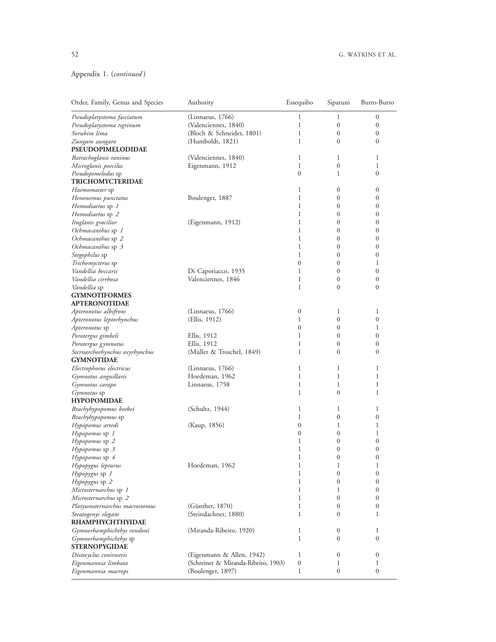| Order, Family, Genus and Species | Authority                           | Essequibo        | Siparuni       | Burro-Burro      |
|----------------------------------|-------------------------------------|------------------|----------------|------------------|
| Pseudoplatystoma fasciatum       | (Linnaeus, 1766)                    | 1                | 1              | $\boldsymbol{0}$ |
| Pseudoplatystoma tigrinum        | (Valenciennes, 1840)                | 1                | 0              | $\boldsymbol{0}$ |
| Sorubim lima                     | (Bloch & Schneider, 1801)           | 1                | 0              | $\boldsymbol{0}$ |
| Zungaro zungaro                  | (Humboldt, 1821)                    | 1                | $\overline{0}$ | $\boldsymbol{0}$ |
| PSEUDOPIMELODIDAE                |                                     |                  |                |                  |
| Batrachoglanis raninus           | (Valenciennes, 1840)                | 1                | 1              | 1                |
| Microglanis poecilus             | Eigenmann, 1912                     | 1                | 0              | 1                |
| Pseudopimelodus sp               |                                     | $\mathbf{0}$     | 1              | $\boldsymbol{0}$ |
| <b>TRICHOMYCTERIDAE</b>          |                                     |                  |                |                  |
| <i>Haemomaster</i> sp            |                                     | 1                | 0              | $\boldsymbol{0}$ |
| Henonemus punctatus              | Boulenger, 1887                     | 1                | 0              | $\boldsymbol{0}$ |
| Homodiaetus sp 1                 |                                     | 1                | $\overline{0}$ | $\boldsymbol{0}$ |
| Homodiaetus sp 2                 |                                     | 1                | 0              | $\boldsymbol{0}$ |
| Ituglanis gracilior              | (Eigenmann, 1912)                   | 1                | 0              | $\boldsymbol{0}$ |
| Ochmacanthus sp 1                |                                     | 1                | $\overline{0}$ | $\mathbf{0}$     |
| Ochmacanthus sp 2                |                                     | 1                | 0              | $\boldsymbol{0}$ |
| Ochmacanthus sp 3                |                                     | 1                | 0              | $\boldsymbol{0}$ |
| Stegophilus sp                   |                                     | 1                | $\overline{0}$ | $\mathbf{0}$     |
| Trichomycterus sp                |                                     | $\mathbf{0}$     | 0              | 1                |
| Vandellia beccarii               | Di Caporiacco, 1935                 | 1                | 0              | $\boldsymbol{0}$ |
| Vandellia cirrhosa               | Valenciennes, 1846                  | 1                | $\mathbf{0}$   | $\boldsymbol{0}$ |
| Vandellia sp                     |                                     | 1                | $\mathbf{0}$   | 0                |
| <b>GYMNOTIFORMES</b>             |                                     |                  |                |                  |
| <b>APTERONOTIDAE</b>             |                                     |                  |                |                  |
| Apteronotus albifrons            | (Linnaeus, 1766)                    | $\boldsymbol{0}$ | 1              | 1                |
| Apteronotus leptorhynchus        | (Ellis, 1912)                       | 1                | 0              | $\boldsymbol{0}$ |
| Apteronotus sp                   |                                     | $\boldsymbol{0}$ | $\overline{0}$ | 1                |
| Porotergus gimbeli               | Ellis, 1912                         | 1                | 0              | $\boldsymbol{0}$ |
| Porotergus gymnotus              | Ellis, 1912                         | 1                | 0              | $\boldsymbol{0}$ |
| Sternarchorhynchus oxyrhynchus   | (Müller & Troschel, 1849)           | 1                | $\mathbf{0}$   | 0                |
| <b>GYMNOTIDAE</b>                |                                     |                  |                |                  |
| Electrophorus electricus         | (Linnaeus, 1766)                    | 1                | 1              | 1                |
| Gymnotus anguillaris             | Hoedeman, 1962                      | 1                | 1              | 1                |
| Gymnotus carapo                  | Linnaeus, 1758                      | 1                | 1              | 1                |
| <i>Gymnotus</i> sp               |                                     | 1                | $\overline{0}$ | 1                |
| <b>HYPOPOMIDAE</b>               |                                     |                  |                |                  |
| Brachyhypopomus beebei           | (Schultz, 1944)                     | 1                | 1              | 1                |
| Brachyhypopomus sp               |                                     | 1                | 0              | $\boldsymbol{0}$ |
| Hypopomus artedi                 | (Kaup, 1856)                        | $\boldsymbol{0}$ | 1              | 1                |
| Hypopomus sp 1                   |                                     | $\mathbf{0}$     | 0              | 1                |
| Hypopomus sp 2                   |                                     | 1                | 0              | $\boldsymbol{0}$ |
| Hypopomus sp 3                   |                                     | 1                | $\mathbf{0}$   | $\boldsymbol{0}$ |
| $Hypopomus$ sp $4$               |                                     | 1                | $\mathbf{0}$   | $\mathbf{0}$     |
| Hypopygus lepturus               | Hoedeman, 1962                      | 1                | 1              | 1                |
| Hypopygus sp 1                   |                                     | 1                | 0              | $\boldsymbol{0}$ |
| Hypopygus sp 2                   |                                     | 1                | 0              | $\boldsymbol{0}$ |
| Microsternarchus sp 1            |                                     | 1                | 1              | $\boldsymbol{0}$ |
| Microsternarchus sp 2            |                                     | 1                | $\overline{0}$ | $\boldsymbol{0}$ |
| Platyurosternarchus macrostomus  | (Günther, 1870)                     | 1                | 0              | $\boldsymbol{0}$ |
| Steatogenys elegans              | (Steindachner, 1880)                | 1                | $\overline{0}$ | 1                |
| <b>RHAMPHYCHTHYIDAE</b>          |                                     |                  |                |                  |
| Gymnorhamphichthys rondoni       | (Miranda-Ribeiro, 1920)             | 1                | 0              | 1                |
| Gymnorhamphichthys sp            |                                     | 1                | 0              | $\boldsymbol{0}$ |
| <b>STERNOPYGIDAE</b>             |                                     |                  |                |                  |
| Distocyclus conirostris          | (Eigenmann & Allen, 1942)           | 1                | 0              | $\boldsymbol{0}$ |
| Eigenmannia limbata              | (Schreiner & Miranda-Ribeiro, 1903) | $\boldsymbol{0}$ | 1              | 1                |
| Eigenmannia macrops              | (Boulenger, 1897)                   | 1                | 0              | 0                |